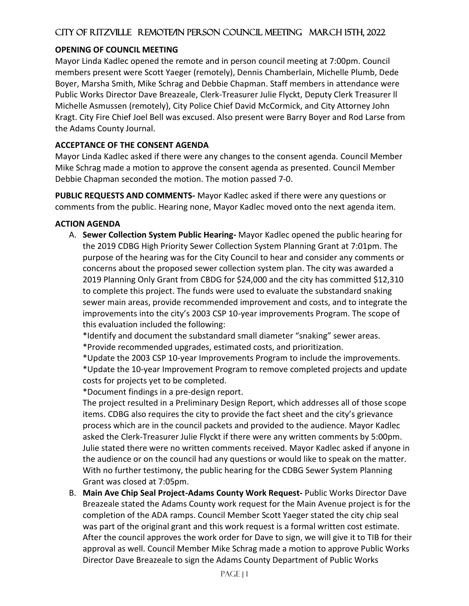#### **OPENING OF COUNCIL MEETING**

Mayor Linda Kadlec opened the remote and in person council meeting at 7:00pm. Council members present were Scott Yaeger (remotely), Dennis Chamberlain, Michelle Plumb, Dede Boyer, Marsha Smith, Mike Schrag and Debbie Chapman. Staff members in attendance were Public Works Director Dave Breazeale, Clerk-Treasurer Julie Flyckt, Deputy Clerk Treasurer ll Michelle Asmussen (remotely), City Police Chief David McCormick, and City Attorney John Kragt. City Fire Chief Joel Bell was excused. Also present were Barry Boyer and Rod Larse from the Adams County Journal.

#### **ACCEPTANCE OF THE CONSENT AGENDA**

Mayor Linda Kadlec asked if there were any changes to the consent agenda. Council Member Mike Schrag made a motion to approve the consent agenda as presented. Council Member Debbie Chapman seconded the motion. The motion passed 7-0.

**PUBLIC REQUESTS AND COMMENTS-** Mayor Kadlec asked if there were any questions or comments from the public. Hearing none, Mayor Kadlec moved onto the next agenda item.

#### **ACTION AGENDA**

A. **Sewer Collection System Public Hearing-** Mayor Kadlec opened the public hearing for the 2019 CDBG High Priority Sewer Collection System Planning Grant at 7:01pm. The purpose of the hearing was for the City Council to hear and consider any comments or concerns about the proposed sewer collection system plan. The city was awarded a 2019 Planning Only Grant from CBDG for \$24,000 and the city has committed \$12,310 to complete this project. The funds were used to evaluate the substandard snaking sewer main areas, provide recommended improvement and costs, and to integrate the improvements into the city's 2003 CSP 10-year improvements Program. The scope of this evaluation included the following:

\*Identify and document the substandard small diameter "snaking" sewer areas.

\*Provide recommended upgrades, estimated costs, and prioritization.

\*Update the 2003 CSP 10-year Improvements Program to include the improvements. \*Update the 10-year Improvement Program to remove completed projects and update costs for projects yet to be completed.

\*Document findings in a pre-design report.

The project resulted in a Preliminary Design Report, which addresses all of those scope items. CDBG also requires the city to provide the fact sheet and the city's grievance process which are in the council packets and provided to the audience. Mayor Kadlec asked the Clerk-Treasurer Julie Flyckt if there were any written comments by 5:00pm. Julie stated there were no written comments received. Mayor Kadlec asked if anyone in the audience or on the council had any questions or would like to speak on the matter. With no further testimony, the public hearing for the CDBG Sewer System Planning Grant was closed at 7:05pm.

B. **Main Ave Chip Seal Project-Adams County Work Request-** Public Works Director Dave Breazeale stated the Adams County work request for the Main Avenue project is for the completion of the ADA ramps. Council Member Scott Yaeger stated the city chip seal was part of the original grant and this work request is a formal written cost estimate. After the council approves the work order for Dave to sign, we will give it to TIB for their approval as well. Council Member Mike Schrag made a motion to approve Public Works Director Dave Breazeale to sign the Adams County Department of Public Works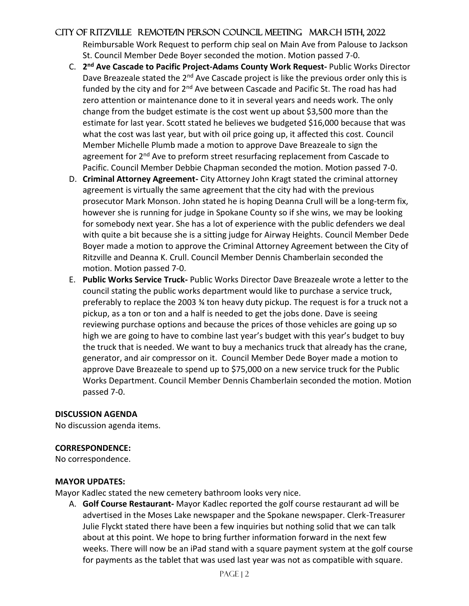Reimbursable Work Request to perform chip seal on Main Ave from Palouse to Jackson St. Council Member Dede Boyer seconded the motion. Motion passed 7-0.

- C. **2 nd Ave Cascade to Pacific Project-Adams County Work Request-** Public Works Director Dave Breazeale stated the 2<sup>nd</sup> Ave Cascade project is like the previous order only this is funded by the city and for 2<sup>nd</sup> Ave between Cascade and Pacific St. The road has had zero attention or maintenance done to it in several years and needs work. The only change from the budget estimate is the cost went up about \$3,500 more than the estimate for last year. Scott stated he believes we budgeted \$16,000 because that was what the cost was last year, but with oil price going up, it affected this cost. Council Member Michelle Plumb made a motion to approve Dave Breazeale to sign the agreement for 2<sup>nd</sup> Ave to preform street resurfacing replacement from Cascade to Pacific. Council Member Debbie Chapman seconded the motion. Motion passed 7-0.
- D. **Criminal Attorney Agreement-** City Attorney John Kragt stated the criminal attorney agreement is virtually the same agreement that the city had with the previous prosecutor Mark Monson. John stated he is hoping Deanna Crull will be a long-term fix, however she is running for judge in Spokane County so if she wins, we may be looking for somebody next year. She has a lot of experience with the public defenders we deal with quite a bit because she is a sitting judge for Airway Heights. Council Member Dede Boyer made a motion to approve the Criminal Attorney Agreement between the City of Ritzville and Deanna K. Crull. Council Member Dennis Chamberlain seconded the motion. Motion passed 7-0.
- E. **Public Works Service Truck-** Public Works Director Dave Breazeale wrote a letter to the council stating the public works department would like to purchase a service truck, preferably to replace the 2003 ¾ ton heavy duty pickup. The request is for a truck not a pickup, as a ton or ton and a half is needed to get the jobs done. Dave is seeing reviewing purchase options and because the prices of those vehicles are going up so high we are going to have to combine last year's budget with this year's budget to buy the truck that is needed. We want to buy a mechanics truck that already has the crane, generator, and air compressor on it. Council Member Dede Boyer made a motion to approve Dave Breazeale to spend up to \$75,000 on a new service truck for the Public Works Department. Council Member Dennis Chamberlain seconded the motion. Motion passed 7-0.

### **DISCUSSION AGENDA**

No discussion agenda items.

#### **CORRESPONDENCE:**

No correspondence.

#### **MAYOR UPDATES:**

Mayor Kadlec stated the new cemetery bathroom looks very nice.

A. **Golf Course Restaurant-** Mayor Kadlec reported the golf course restaurant ad will be advertised in the Moses Lake newspaper and the Spokane newspaper. Clerk-Treasurer Julie Flyckt stated there have been a few inquiries but nothing solid that we can talk about at this point. We hope to bring further information forward in the next few weeks. There will now be an iPad stand with a square payment system at the golf course for payments as the tablet that was used last year was not as compatible with square.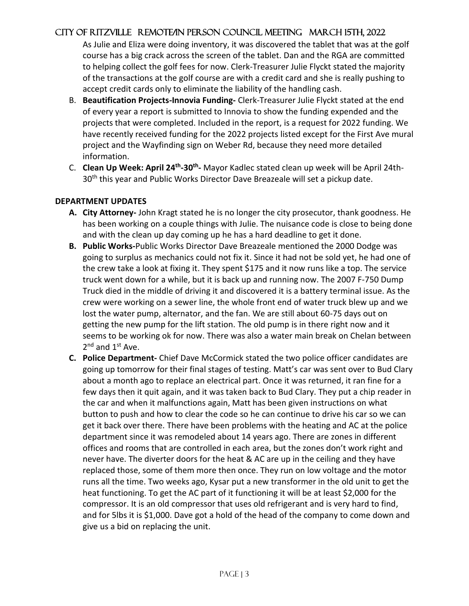As Julie and Eliza were doing inventory, it was discovered the tablet that was at the golf course has a big crack across the screen of the tablet. Dan and the RGA are committed to helping collect the golf fees for now. Clerk-Treasurer Julie Flyckt stated the majority of the transactions at the golf course are with a credit card and she is really pushing to accept credit cards only to eliminate the liability of the handling cash.

- B. **Beautification Projects-Innovia Funding-** Clerk-Treasurer Julie Flyckt stated at the end of every year a report is submitted to Innovia to show the funding expended and the projects that were completed. Included in the report, is a request for 2022 funding. We have recently received funding for the 2022 projects listed except for the First Ave mural project and the Wayfinding sign on Weber Rd, because they need more detailed information.
- C. **Clean Up Week: April 24th -30th -** Mayor Kadlec stated clean up week will be April 24th-30<sup>th</sup> this year and Public Works Director Dave Breazeale will set a pickup date.

#### **DEPARTMENT UPDATES**

- **A. City Attorney-** John Kragt stated he is no longer the city prosecutor, thank goodness. He has been working on a couple things with Julie. The nuisance code is close to being done and with the clean up day coming up he has a hard deadline to get it done.
- **B. Public Works-**Public Works Director Dave Breazeale mentioned the 2000 Dodge was going to surplus as mechanics could not fix it. Since it had not be sold yet, he had one of the crew take a look at fixing it. They spent \$175 and it now runs like a top. The service truck went down for a while, but it is back up and running now. The 2007 F-750 Dump Truck died in the middle of driving it and discovered it is a battery terminal issue. As the crew were working on a sewer line, the whole front end of water truck blew up and we lost the water pump, alternator, and the fan. We are still about 60-75 days out on getting the new pump for the lift station. The old pump is in there right now and it seems to be working ok for now. There was also a water main break on Chelan between 2<sup>nd</sup> and 1<sup>st</sup> Ave.
- **C. Police Department-** Chief Dave McCormick stated the two police officer candidates are going up tomorrow for their final stages of testing. Matt's car was sent over to Bud Clary about a month ago to replace an electrical part. Once it was returned, it ran fine for a few days then it quit again, and it was taken back to Bud Clary. They put a chip reader in the car and when it malfunctions again, Matt has been given instructions on what button to push and how to clear the code so he can continue to drive his car so we can get it back over there. There have been problems with the heating and AC at the police department since it was remodeled about 14 years ago. There are zones in different offices and rooms that are controlled in each area, but the zones don't work right and never have. The diverter doors for the heat & AC are up in the ceiling and they have replaced those, some of them more then once. They run on low voltage and the motor runs all the time. Two weeks ago, Kysar put a new transformer in the old unit to get the heat functioning. To get the AC part of it functioning it will be at least \$2,000 for the compressor. It is an old compressor that uses old refrigerant and is very hard to find, and for 5lbs it is \$1,000. Dave got a hold of the head of the company to come down and give us a bid on replacing the unit.